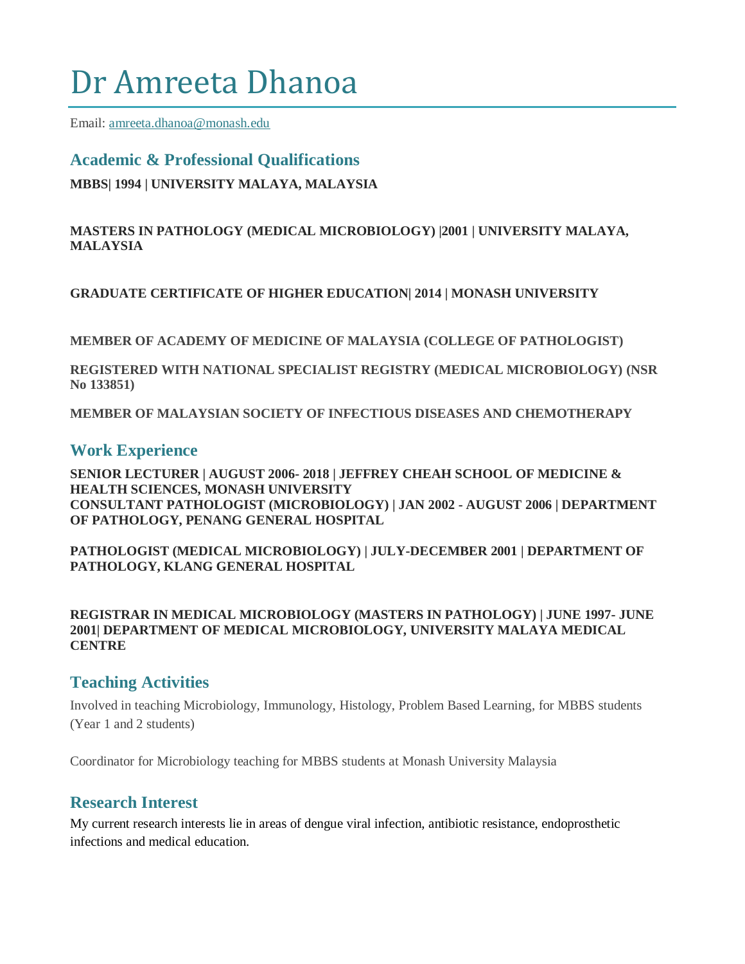# Dr Amreeta Dhanoa

Email: [amreeta.dhanoa@monash.edu](mailto:amreeta.dhanoa@monash.edu)

# **Academic & Professional Qualifications MBBS| 1994 | UNIVERSITY MALAYA, MALAYSIA**

#### **MASTERS IN PATHOLOGY (MEDICAL MICROBIOLOGY) |2001 | UNIVERSITY MALAYA, MALAYSIA**

**GRADUATE CERTIFICATE OF HIGHER EDUCATION| 2014 | MONASH UNIVERSITY** 

**MEMBER OF ACADEMY OF MEDICINE OF MALAYSIA (COLLEGE OF PATHOLOGIST)**

**REGISTERED WITH NATIONAL SPECIALIST REGISTRY (MEDICAL MICROBIOLOGY) (NSR No 133851)**

**MEMBER OF MALAYSIAN SOCIETY OF INFECTIOUS DISEASES AND CHEMOTHERAPY**

### **Work Experience**

**SENIOR LECTURER | AUGUST 2006- 2018 | JEFFREY CHEAH SCHOOL OF MEDICINE & HEALTH SCIENCES, MONASH UNIVERSITY CONSULTANT PATHOLOGIST (MICROBIOLOGY) | JAN 2002 - AUGUST 2006 | DEPARTMENT OF PATHOLOGY, PENANG GENERAL HOSPITAL**

**PATHOLOGIST (MEDICAL MICROBIOLOGY) | JULY-DECEMBER 2001 | DEPARTMENT OF PATHOLOGY, KLANG GENERAL HOSPITAL**

**REGISTRAR IN MEDICAL MICROBIOLOGY (MASTERS IN PATHOLOGY) | JUNE 1997- JUNE 2001| DEPARTMENT OF MEDICAL MICROBIOLOGY, UNIVERSITY MALAYA MEDICAL CENTRE**

## **Teaching Activities**

Involved in teaching Microbiology, Immunology, Histology, Problem Based Learning, for MBBS students (Year 1 and 2 students)

Coordinator for Microbiology teaching for MBBS students at Monash University Malaysia

## **Research Interest**

My current research interests lie in areas of dengue viral infection, antibiotic resistance, endoprosthetic infections and medical education.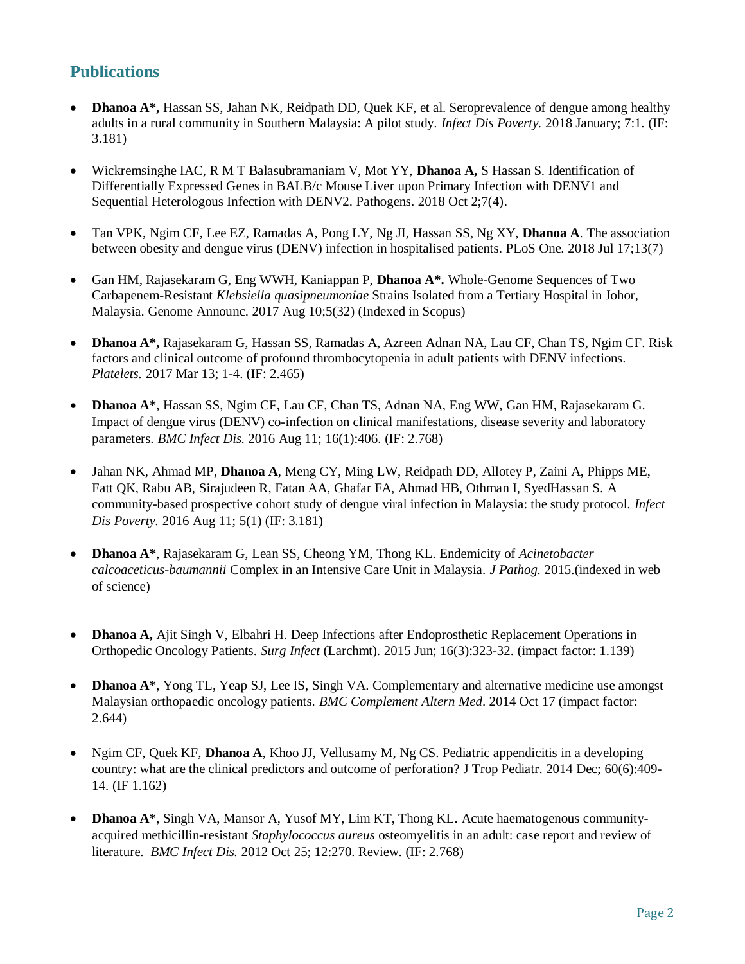## **Publications**

- **Dhanoa A\*,** Hassan SS, Jahan NK, Reidpath DD, Quek KF, et al. Seroprevalence of dengue among healthy adults in a rural community in Southern Malaysia: A pilot study. *Infect Dis Poverty.* 2018 January; 7:1. (IF: 3.181)
- Wickremsinghe IAC, R M T Balasubramaniam V, Mot YY, **Dhanoa A,** S Hassan S. Identification of Differentially Expressed Genes in BALB/c Mouse Liver upon Primary Infection with DENV1 and Sequential Heterologous Infection with DENV2. Pathogens. 2018 Oct 2;7(4).
- Tan VPK, Ngim CF, Lee EZ, Ramadas A, Pong LY, Ng JI, Hassan SS, Ng XY, **Dhanoa A**. The association between obesity and dengue virus (DENV) infection in hospitalised patients. PLoS One. 2018 Jul 17;13(7)
- Gan HM, Rajasekaram G, Eng WWH, Kaniappan P, **Dhanoa A\*.** [Whole-Genome Sequences of Two](https://www.ncbi.nlm.nih.gov/pubmed/28798179)  Carbapenem-Resistant *Klebsiella quasipneumoniae* [Strains Isolated from a Tertiary Hospital in Johor,](https://www.ncbi.nlm.nih.gov/pubmed/28798179)  [Malaysia.](https://www.ncbi.nlm.nih.gov/pubmed/28798179) Genome Announc. 2017 Aug 10;5(32) (Indexed in Scopus)
- **Dhanoa A\*,** Rajasekaram G, Hassan SS, Ramadas A, Azreen Adnan NA, Lau CF, Chan TS, Ngim CF. Risk factors and clinical outcome of profound thrombocytopenia in adult patients with DENV infections. *Platelets.* 2017 Mar 13; 1-4. (IF: 2.465)
- **Dhanoa A\***, Hassan SS, Ngim CF, Lau CF, Chan TS, Adnan NA, Eng WW, Gan HM, Rajasekaram G. [Impact of dengue virus \(DENV\) co-infection on clinical manifestations, disease severity and laboratory](http://www.ncbi.nlm.nih.gov/pubmed/27514512)  [parameters.](http://www.ncbi.nlm.nih.gov/pubmed/27514512) *BMC Infect Dis.* 2016 Aug 11; 16(1):406. (IF: 2.768)
- Jahan NK, Ahmad MP, **Dhanoa A**, Meng CY, Ming LW, Reidpath DD, Allotey P, Zaini A, Phipps ME, Fatt QK, Rabu AB, Sirajudeen R, Fatan AA, Ghafar FA, Ahmad HB, Othman I, SyedHassan S. [A](http://www.ncbi.nlm.nih.gov/pubmed/27510731)  [community-based prospective cohort study of dengue viral infection in Malaysia: the study protocol.](http://www.ncbi.nlm.nih.gov/pubmed/27510731) *Infect Dis Poverty.* 2016 Aug 11; 5(1) (IF: 3.181)
- **Dhanoa A\***, Rajasekaram G, Lean SS, Cheong YM, Thong KL. Endemicity of *Acinetobacter calcoaceticus-baumannii* Complex in an Intensive Care Unit in Malaysia. *J Pathog.* 2015.(indexed in web of science)
- **[Dhanoa A,](http://www.ncbi.nlm.nih.gov/pubmed/?term=Dhanoa%20A%5BAuthor%5D&cauthor=true&cauthor_uid=26046246)** [Ajit Singh V,](http://www.ncbi.nlm.nih.gov/pubmed/?term=Ajit%20Singh%20V%5BAuthor%5D&cauthor=true&cauthor_uid=26046246) [Elbahri H.](http://www.ncbi.nlm.nih.gov/pubmed/?term=Elbahri%20H%5BAuthor%5D&cauthor=true&cauthor_uid=26046246) Deep Infections after Endoprosthetic Replacement Operations in Orthopedic Oncology Patients. *[Surg Infect](http://www.ncbi.nlm.nih.gov/pubmed/?term=Amreeta+DHANOA+and+endoprosthetic+infections)* (Larchmt). 2015 Jun; 16(3):323-32. (impact factor: 1.139)
- **[Dhanoa A\\*](http://www.ncbi.nlm.nih.gov/pubmed/?term=Dhanoa%20A%5BAuthor%5D&cauthor=true&cauthor_uid=25324121)**, [Yong TL,](http://www.ncbi.nlm.nih.gov/pubmed/?term=Yong%20TL%5BAuthor%5D&cauthor=true&cauthor_uid=25324121) [Yeap SJ,](http://www.ncbi.nlm.nih.gov/pubmed/?term=Yeap%20SJ%5BAuthor%5D&cauthor=true&cauthor_uid=25324121) [Lee IS,](http://www.ncbi.nlm.nih.gov/pubmed/?term=Lee%20IS%5BAuthor%5D&cauthor=true&cauthor_uid=25324121) [Singh VA.](http://www.ncbi.nlm.nih.gov/pubmed/?term=Singh%20VA%5BAuthor%5D&cauthor=true&cauthor_uid=25324121) Complementary and alternative medicine use amongst Malaysian orthopaedic oncology patients. *[BMC Complement Altern Med](http://www.ncbi.nlm.nih.gov/pubmed/?term=Amreeta+DHANOA+and+complementary+medicine)*. 2014 Oct 17 (impact factor: 2.644)
- Ngim CF, Quek KF, **Dhanoa A**, Khoo JJ, Vellusamy M, Ng CS. [Pediatric appendicitis in a developing](http://www.ncbi.nlm.nih.gov/pubmed/25063462)  [country: what are the clinical predictors and outcome of perforation?](http://www.ncbi.nlm.nih.gov/pubmed/25063462) J Trop Pediatr. 2014 Dec; 60(6):409- 14. (IF 1.162)
- **[Dh](http://www.ncbi.nlm.nih.gov/pubmed/23098162)anoa A\***, Singh VA, Mansor A, Yusof MY, Lim KT, Thong KL. [Acute haematogenous community](http://www.ncbi.nlm.nih.gov/pubmed/23098162)[acquired](http://www.ncbi.nlm.nih.gov/pubmed/23098162) [methicillin-resistant](http://www.ncbi.nlm.nih.gov/pubmed/23098162) *[Staphylococcus aureus](http://www.ncbi.nlm.nih.gov/pubmed/23098162)* [osteomyelitis in an adult: case report and review of](http://www.ncbi.nlm.nih.gov/pubmed/23098162)  [literature.](http://www.ncbi.nlm.nih.gov/pubmed/23098162) *BMC Infect Dis.* 2012 Oct 25; 12:270. Review. (IF: 2.768)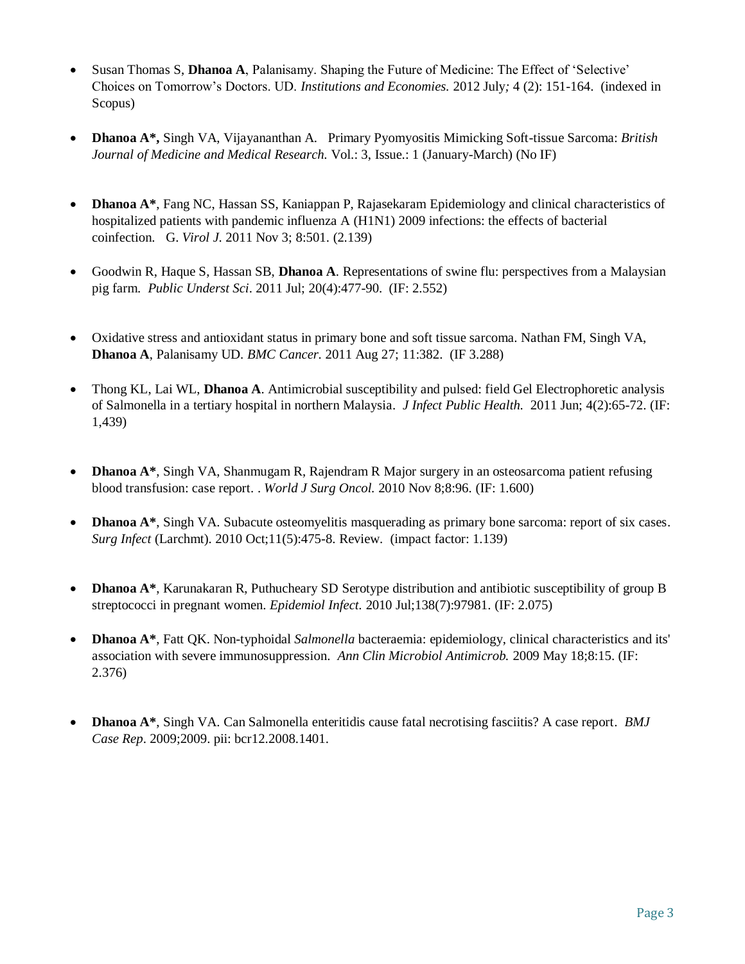- Susan Thomas S, **Dhanoa A**, Palanisamy. Shaping the Future of Medicine: The Effect of 'Selective' Choices on Tomorrow's Doctors. UD. *Institutions and Economies.* 2012 July*;* 4 (2): 151-164. (indexed in Scopus)
- **Dhanoa A\*,** Singh VA, Vijayananthan A. Primary Pyomyositis Mimicking Soft-tissue Sarcoma: *British Journal of Medicine and Medical Research.* Vol.: 3, Issue.: 1 (January-March) (No IF)
- **Dhanoa A\***, Fang NC, Hassan SS, Kaniappan P, Rajasekaram [Epidemiology and clinical characteristics of](http://www.ncbi.nlm.nih.gov/pubmed/22050645)  [hospitalized patients with pandemic influenza A](http://www.ncbi.nlm.nih.gov/pubmed/22050645) [\(H1N1\) 2009 infections: the effects of bacterial](http://www.ncbi.nlm.nih.gov/pubmed/22050645)  [coinfection.](http://www.ncbi.nlm.nih.gov/pubmed/22050645) G. *Virol J*. 2011 Nov 3; 8:501. (2.139)
- [Go](http://www.ncbi.nlm.nih.gov/pubmed/21936262)odwin R, Haque S, Hassan SB, **Dhanoa A**. [Representations of swine flu: perspectives from a Malaysian](http://www.ncbi.nlm.nih.gov/pubmed/21936262)  [pig farm.](http://www.ncbi.nlm.nih.gov/pubmed/21936262) *Public Underst Sci*. 2011 Jul; 20(4):477-90. (IF: 2.552)
- [Oxidative stress and antioxidant status in primary bone and soft tissue sarcoma. Nat](http://www.ncbi.nlm.nih.gov/pubmed/21871117)han FM, Singh VA, **Dhanoa A**, Palanisamy UD. *BMC Cancer.* 2011 Aug 27; 11:382. (IF 3.288)
- [Th](http://www.ncbi.nlm.nih.gov/pubmed/21663875)ong KL, Lai WL, **Dhanoa A**. [Antimicrobial susceptibility and pulsed: field Gel Electrophoretic analysis](http://www.ncbi.nlm.nih.gov/pubmed/21663875)  [of Salmonella in a](http://www.ncbi.nlm.nih.gov/pubmed/21663875) [tertiary hospital in northern Malaysia.](http://www.ncbi.nlm.nih.gov/pubmed/21663875) *J Infect Public Health.* 2011 Jun; 4(2):65-72. (IF: 1,439)
- **[Dh](http://www.ncbi.nlm.nih.gov/pubmed/21059231)anoa A\***, Singh VA, Shanmugam R, Rajendram R [Major surgery in an osteosarcoma patient refusing](http://www.ncbi.nlm.nih.gov/pubmed/21059231)  [blood transfusion: case report.](http://www.ncbi.nlm.nih.gov/pubmed/21059231) [.](http://www.ncbi.nlm.nih.gov/pubmed/21059231) *World J Surg Oncol.* 2010 Nov 8;8:96. (IF: 1.600)
- **[Dh](http://www.ncbi.nlm.nih.gov/pubmed/20858161)anoa A\***, Singh VA. [Subacute osteomyelitis masquerading as primary bone sarcoma: report of six cases.](http://www.ncbi.nlm.nih.gov/pubmed/20858161) *Surg Infect* (Larchmt). 2010 Oct;11(5):475-8. Review. (impact factor: 1.139)
- **Dhanoa A\***, Karunakaran R, Puthucheary SD [Serotype distribution and antibiotic susceptibility of group B](http://www.ncbi.nlm.nih.gov/pubmed/19889253)  [streptococci in pregnant](http://www.ncbi.nlm.nih.gov/pubmed/19889253) [women.](http://www.ncbi.nlm.nih.gov/pubmed/19889253) *[E](http://www.ncbi.nlm.nih.gov/pubmed/19889253)pidemiol Infect.* 2010 Jul;138(7):97981. (IF: 2.075)
- **[Dh](http://www.ncbi.nlm.nih.gov/pubmed/19445730)anoa A\***, Fatt QK. [Non-typhoidal](http://www.ncbi.nlm.nih.gov/pubmed/19445730) *[Salmonella](http://www.ncbi.nlm.nih.gov/pubmed/19445730)* [bacteraemia: epidemiology, clinical characteristics](http://www.ncbi.nlm.nih.gov/pubmed/19445730) and it[s'](http://www.ncbi.nlm.nih.gov/pubmed/19445730) [association with severe immunosuppression.](http://www.ncbi.nlm.nih.gov/pubmed/19445730) *Ann Clin Microbiol Antimicrob.* 2009 May 18;8:15. (IF: 2.376)
- **[Dh](http://www.ncbi.nlm.nih.gov/pubmed/21686336)anoa A\***, Singh VA. [Can Salmonella enteritidis cause fatal necrotising fasciitis? A case report.](http://www.ncbi.nlm.nih.gov/pubmed/21686336) *BMJ Case Rep*. 2009;2009. pii: bcr12.2008.1401.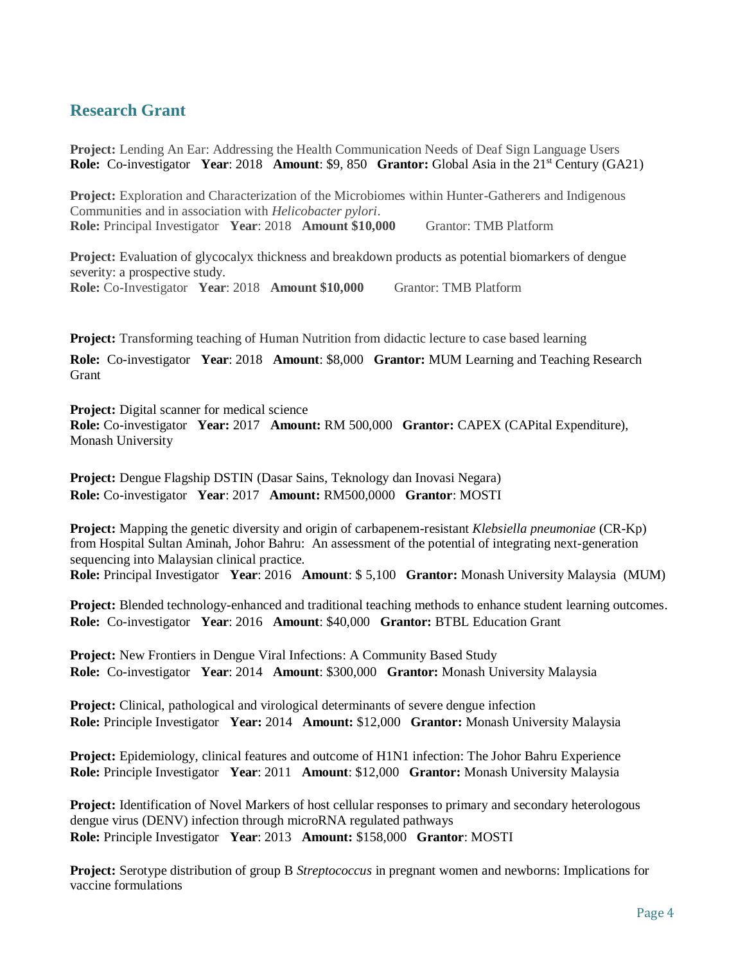### **Research Grant**

**Project:** Lending An Ear: Addressing the Health Communication Needs of Deaf Sign Language Users **Role:** Co-investigator **Year**: 2018 **Amount**: \$9, 850 **Grantor:** Global Asia in the 21<sup>st</sup> Century (GA21)

**Project:** Exploration and Characterization of the Microbiomes within Hunter-Gatherers and Indigenous Communities and in association with *Helicobacter pylori*. **Role:** Principal Investigator **Year**: 2018 **Amount \$10,000** Grantor: TMB Platform

**Project:** Evaluation of glycocalyx thickness and breakdown products as potential biomarkers of dengue severity: a prospective study. **Role:** Co-Investigator **Year**: 2018 **Amount \$10,000** Grantor: TMB Platform

**Project:** Transforming teaching of Human Nutrition from didactic lecture to case based learning

**Role:** Co-investigator **Year**: 2018 **Amount**: \$8,000 **Grantor:** MUM Learning and Teaching Research Grant

**Project:** Digital scanner for medical science

**Role:** Co-investigator **Year:** 2017 **Amount:** RM 500,000 **Grantor:** CAPEX (CAPital Expenditure), Monash University

**Project:** Dengue Flagship DSTIN (Dasar Sains, Teknology dan Inovasi Negara) **Role:** Co-investigator **Year**: 2017 **Amount:** RM500,0000 **Grantor**: MOSTI

**Project:** Mapping the genetic diversity and origin of carbapenem-resistant *Klebsiella pneumoniae* (CR-Kp) from Hospital Sultan Aminah, Johor Bahru: An assessment of the potential of integrating next-generation sequencing into Malaysian clinical practice. **Role:** Principal Investigator **Year**: 2016 **Amount**: \$ 5,100 **Grantor:** Monash University Malaysia (MUM)

**Project:** Blended technology-enhanced and traditional teaching methods to enhance student learning outcomes. **Role:** Co-investigator **Year**: 2016 **Amount**: \$40,000 **Grantor:** BTBL Education Grant

**Project:** New Frontiers in Dengue Viral Infections: A Community Based Study **Role:** Co-investigator **Year**: 2014 **Amount**: \$300,000 **Grantor:** Monash University Malaysia

**Project:** Clinical, pathological and virological determinants of severe dengue infection **Role:** Principle Investigator **Year:** 2014 **Amount:** \$12,000 **Grantor:** Monash University Malaysia

**Project:** Epidemiology, clinical features and outcome of H1N1 infection: The Johor Bahru Experience **Role:** Principle Investigator **Year**: 2011 **Amount**: \$12,000 **Grantor:** Monash University Malaysia

**Project:** Identification of Novel Markers of host cellular responses to primary and secondary heterologous dengue virus (DENV) infection through microRNA regulated pathways **Role:** Principle Investigator **Year**: 2013 **Amount:** \$158,000 **Grantor**: MOSTI

**Project:** Serotype distribution of group B *Streptococcus* in pregnant women and newborns: Implications for vaccine formulations